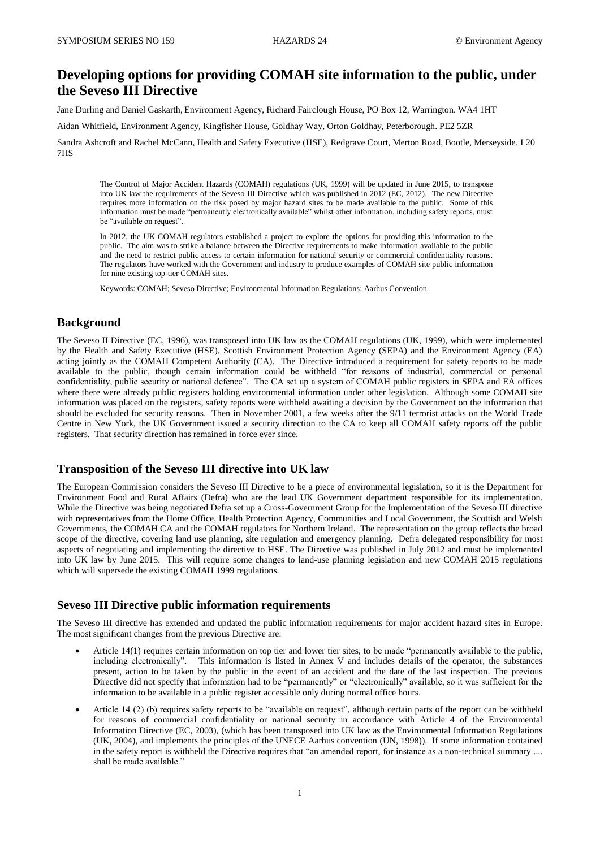# **Developing options for providing COMAH site information to the public, under the Seveso III Directive**

Jane Durling and Daniel Gaskarth, Environment Agency, Richard Fairclough House, PO Box 12, Warrington. WA4 1HT

Aidan Whitfield, Environment Agency, Kingfisher House, Goldhay Way, Orton Goldhay, Peterborough. PE2 5ZR

Sandra Ashcroft and Rachel McCann, Health and Safety Executive (HSE), Redgrave Court, Merton Road, Bootle, Merseyside. L20 7HS

The Control of Major Accident Hazards (COMAH) regulations (UK, 1999) will be updated in June 2015, to transpose into UK law the requirements of the Seveso III Directive which was published in 2012 (EC, 2012). The new Directive requires more information on the risk posed by major hazard sites to be made available to the public. Some of this information must be made "permanently electronically available" whilst other information, including safety reports, must be "available on request".

In 2012, the UK COMAH regulators established a project to explore the options for providing this information to the public. The aim was to strike a balance between the Directive requirements to make information available to the public and the need to restrict public access to certain information for national security or commercial confidentiality reasons. The regulators have worked with the Government and industry to produce examples of COMAH site public information for nine existing top-tier COMAH sites.

Keywords: COMAH; Seveso Directive; Environmental Information Regulations; Aarhus Convention.

#### **Background**

The Seveso II Directive (EC, 1996), was transposed into UK law as the COMAH regulations (UK, 1999), which were implemented by the Health and Safety Executive (HSE), Scottish Environment Protection Agency (SEPA) and the Environment Agency (EA) acting jointly as the COMAH Competent Authority (CA). The Directive introduced a requirement for safety reports to be made available to the public, though certain information could be withheld "for reasons of industrial, commercial or personal confidentiality, public security or national defence". The CA set up a system of COMAH public registers in SEPA and EA offices where there were already public registers holding environmental information under other legislation. Although some COMAH site information was placed on the registers, safety reports were withheld awaiting a decision by the Government on the information that should be excluded for security reasons. Then in November 2001, a few weeks after the 9/11 terrorist attacks on the World Trade Centre in New York, the UK Government issued a security direction to the CA to keep all COMAH safety reports off the public registers. That security direction has remained in force ever since.

#### **Transposition of the Seveso III directive into UK law**

The European Commission considers the Seveso III Directive to be a piece of environmental legislation, so it is the Department for Environment Food and Rural Affairs (Defra) who are the lead UK Government department responsible for its implementation. While the Directive was being negotiated Defra set up a Cross-Government Group for the Implementation of the Seveso III directive with representatives from the Home Office, Health Protection Agency, Communities and Local Government, the Scottish and Welsh Governments, the COMAH CA and the COMAH regulators for Northern Ireland. The representation on the group reflects the broad scope of the directive, covering land use planning, site regulation and emergency planning. Defra delegated responsibility for most aspects of negotiating and implementing the directive to HSE. The Directive was published in July 2012 and must be implemented into UK law by June 2015. This will require some changes to land-use planning legislation and new COMAH 2015 regulations which will supersede the existing COMAH 1999 regulations.

# **Seveso III Directive public information requirements**

The Seveso III directive has extended and updated the public information requirements for major accident hazard sites in Europe. The most significant changes from the previous Directive are:

- Article 14(1) requires certain information on top tier and lower tier sites, to be made "permanently available to the public, including electronically". This information is listed in Annex V and includes details of the operator, the substances present, action to be taken by the public in the event of an accident and the date of the last inspection. The previous Directive did not specify that information had to be "permanently" or "electronically" available, so it was sufficient for the information to be available in a public register accessible only during normal office hours.
- Article 14 (2) (b) requires safety reports to be "available on request", although certain parts of the report can be withheld for reasons of commercial confidentiality or national security in accordance with Article 4 of the Environmental Information Directive (EC, 2003), (which has been transposed into UK law as the Environmental Information Regulations (UK, 2004), and implements the principles of the UNECE Aarhus convention (UN, 1998)). If some information contained in the safety report is withheld the Directive requires that "an amended report, for instance as a non-technical summary .... shall be made available."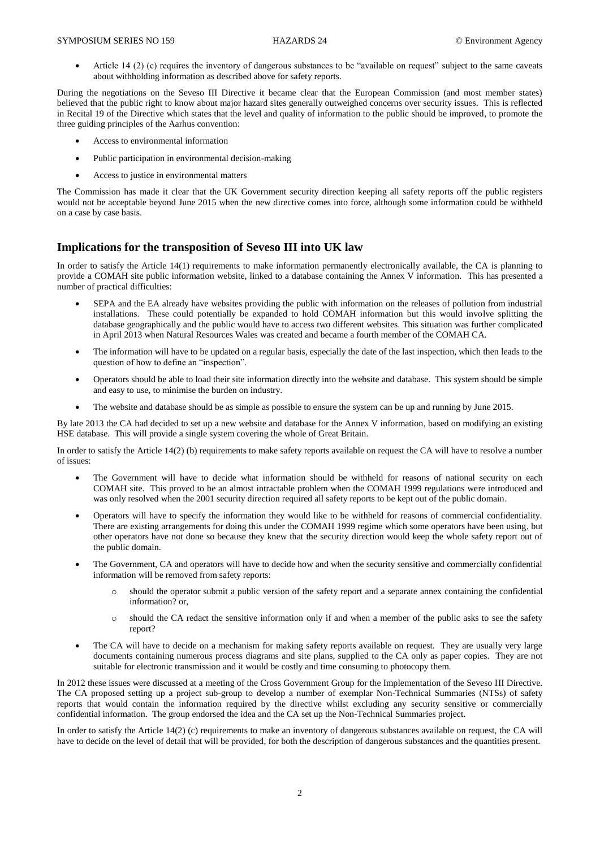Article 14 (2) (c) requires the inventory of dangerous substances to be "available on request" subject to the same caveats about withholding information as described above for safety reports.

During the negotiations on the Seveso III Directive it became clear that the European Commission (and most member states) believed that the public right to know about major hazard sites generally outweighed concerns over security issues. This is reflected in Recital 19 of the Directive which states that the level and quality of information to the public should be improved, to promote the three guiding principles of the Aarhus convention:

- Access to environmental information
- Public participation in environmental decision-making
- Access to justice in environmental matters

The Commission has made it clear that the UK Government security direction keeping all safety reports off the public registers would not be acceptable beyond June 2015 when the new directive comes into force, although some information could be withheld on a case by case basis.

# **Implications for the transposition of Seveso III into UK law**

In order to satisfy the Article 14(1) requirements to make information permanently electronically available, the CA is planning to provide a COMAH site public information website, linked to a database containing the Annex V information. This has presented a number of practical difficulties:

- SEPA and the EA already have websites providing the public with information on the releases of pollution from industrial installations. These could potentially be expanded to hold COMAH information but this would involve splitting the database geographically and the public would have to access two different websites. This situation was further complicated in April 2013 when Natural Resources Wales was created and became a fourth member of the COMAH CA.
- The information will have to be updated on a regular basis, especially the date of the last inspection, which then leads to the question of how to define an "inspection".
- Operators should be able to load their site information directly into the website and database. This system should be simple and easy to use, to minimise the burden on industry.
- The website and database should be as simple as possible to ensure the system can be up and running by June 2015.

By late 2013 the CA had decided to set up a new website and database for the Annex V information, based on modifying an existing HSE database. This will provide a single system covering the whole of Great Britain.

In order to satisfy the Article 14(2) (b) requirements to make safety reports available on request the CA will have to resolve a number of issues:

- The Government will have to decide what information should be withheld for reasons of national security on each COMAH site. This proved to be an almost intractable problem when the COMAH 1999 regulations were introduced and was only resolved when the 2001 security direction required all safety reports to be kept out of the public domain.
- Operators will have to specify the information they would like to be withheld for reasons of commercial confidentiality. There are existing arrangements for doing this under the COMAH 1999 regime which some operators have been using, but other operators have not done so because they knew that the security direction would keep the whole safety report out of the public domain.
- The Government, CA and operators will have to decide how and when the security sensitive and commercially confidential information will be removed from safety reports:
	- o should the operator submit a public version of the safety report and a separate annex containing the confidential information? or,
	- o should the CA redact the sensitive information only if and when a member of the public asks to see the safety report?
- The CA will have to decide on a mechanism for making safety reports available on request. They are usually very large documents containing numerous process diagrams and site plans, supplied to the CA only as paper copies. They are not suitable for electronic transmission and it would be costly and time consuming to photocopy them.

In 2012 these issues were discussed at a meeting of the Cross Government Group for the Implementation of the Seveso III Directive. The CA proposed setting up a project sub-group to develop a number of exemplar Non-Technical Summaries (NTSs) of safety reports that would contain the information required by the directive whilst excluding any security sensitive or commercially confidential information. The group endorsed the idea and the CA set up the Non-Technical Summaries project.

In order to satisfy the Article 14(2) (c) requirements to make an inventory of dangerous substances available on request, the CA will have to decide on the level of detail that will be provided, for both the description of dangerous substances and the quantities present.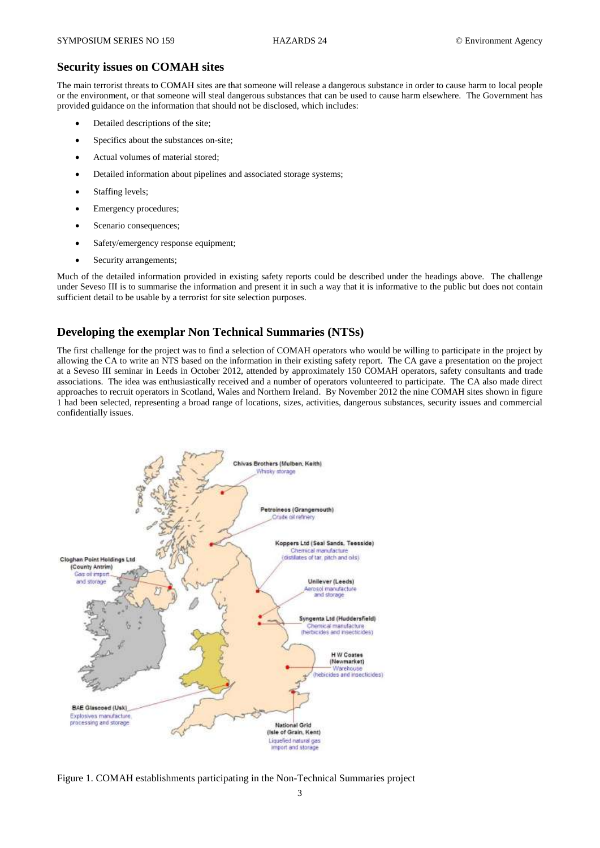#### **Security issues on COMAH sites**

The main terrorist threats to COMAH sites are that someone will release a dangerous substance in order to cause harm to local people or the environment, or that someone will steal dangerous substances that can be used to cause harm elsewhere. The Government has provided guidance on the information that should not be disclosed, which includes:

- Detailed descriptions of the site;
- Specifics about the substances on-site;
- Actual volumes of material stored;
- Detailed information about pipelines and associated storage systems;
- Staffing levels;
- Emergency procedures;
- Scenario consequences;
- Safety/emergency response equipment;
- Security arrangements;

Much of the detailed information provided in existing safety reports could be described under the headings above. The challenge under Seveso III is to summarise the information and present it in such a way that it is informative to the public but does not contain sufficient detail to be usable by a terrorist for site selection purposes.

#### **Developing the exemplar Non Technical Summaries (NTSs)**

The first challenge for the project was to find a selection of COMAH operators who would be willing to participate in the project by allowing the CA to write an NTS based on the information in their existing safety report. The CA gave a presentation on the project at a Seveso III seminar in Leeds in October 2012, attended by approximately 150 COMAH operators, safety consultants and trade associations. The idea was enthusiastically received and a number of operators volunteered to participate. The CA also made direct approaches to recruit operators in Scotland, Wales and Northern Ireland. By November 2012 the nine COMAH sites shown in figure 1 had been selected, representing a broad range of locations, sizes, activities, dangerous substances, security issues and commercial confidentially issues.



Figure 1. COMAH establishments participating in the Non-Technical Summaries project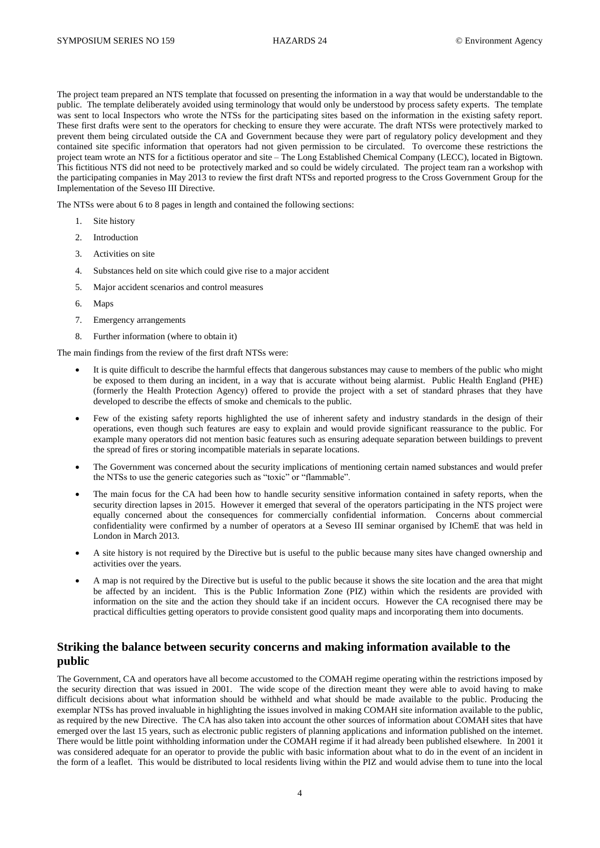The project team prepared an NTS template that focussed on presenting the information in a way that would be understandable to the public. The template deliberately avoided using terminology that would only be understood by process safety experts. The template was sent to local Inspectors who wrote the NTSs for the participating sites based on the information in the existing safety report. These first drafts were sent to the operators for checking to ensure they were accurate. The draft NTSs were protectively marked to prevent them being circulated outside the CA and Government because they were part of regulatory policy development and they contained site specific information that operators had not given permission to be circulated. To overcome these restrictions the project team wrote an NTS for a fictitious operator and site – The Long Established Chemical Company (LECC), located in Bigtown. This fictitious NTS did not need to be protectively marked and so could be widely circulated. The project team ran a workshop with the participating companies in May 2013 to review the first draft NTSs and reported progress to the Cross Government Group for the Implementation of the Seveso III Directive.

The NTSs were about 6 to 8 pages in length and contained the following sections:

- 1. Site history
- 2. Introduction
- 3. Activities on site
- 4. Substances held on site which could give rise to a major accident
- 5. Major accident scenarios and control measures
- 6. Maps
- 7. Emergency arrangements
- 8. Further information (where to obtain it)

The main findings from the review of the first draft NTSs were:

- It is quite difficult to describe the harmful effects that dangerous substances may cause to members of the public who might be exposed to them during an incident, in a way that is accurate without being alarmist. Public Health England (PHE) (formerly the Health Protection Agency) offered to provide the project with a set of standard phrases that they have developed to describe the effects of smoke and chemicals to the public.
- Few of the existing safety reports highlighted the use of inherent safety and industry standards in the design of their operations, even though such features are easy to explain and would provide significant reassurance to the public. For example many operators did not mention basic features such as ensuring adequate separation between buildings to prevent the spread of fires or storing incompatible materials in separate locations.
- The Government was concerned about the security implications of mentioning certain named substances and would prefer the NTSs to use the generic categories such as "toxic" or "flammable".
- The main focus for the CA had been how to handle security sensitive information contained in safety reports, when the security direction lapses in 2015. However it emerged that several of the operators participating in the NTS project were equally concerned about the consequences for commercially confidential information. Concerns about commercial confidentiality were confirmed by a number of operators at a Seveso III seminar organised by IChemE that was held in London in March 2013.
- A site history is not required by the Directive but is useful to the public because many sites have changed ownership and activities over the years.
- A map is not required by the Directive but is useful to the public because it shows the site location and the area that might be affected by an incident. This is the Public Information Zone (PIZ) within which the residents are provided with information on the site and the action they should take if an incident occurs. However the CA recognised there may be practical difficulties getting operators to provide consistent good quality maps and incorporating them into documents.

#### **Striking the balance between security concerns and making information available to the public**

The Government, CA and operators have all become accustomed to the COMAH regime operating within the restrictions imposed by the security direction that was issued in 2001. The wide scope of the direction meant they were able to avoid having to make difficult decisions about what information should be withheld and what should be made available to the public. Producing the exemplar NTSs has proved invaluable in highlighting the issues involved in making COMAH site information available to the public, as required by the new Directive. The CA has also taken into account the other sources of information about COMAH sites that have emerged over the last 15 years, such as electronic public registers of planning applications and information published on the internet. There would be little point withholding information under the COMAH regime if it had already been published elsewhere. In 2001 it was considered adequate for an operator to provide the public with basic information about what to do in the event of an incident in the form of a leaflet. This would be distributed to local residents living within the PIZ and would advise them to tune into the local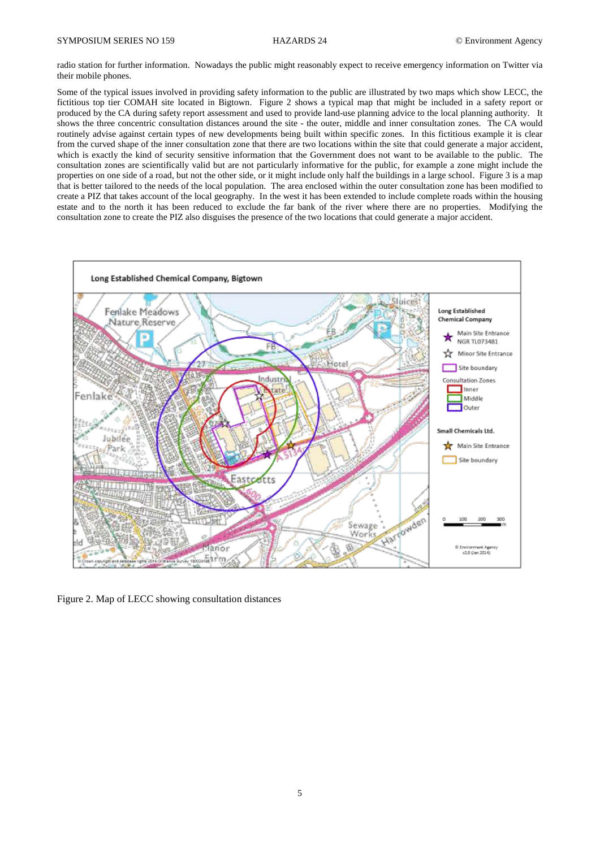radio station for further information. Nowadays the public might reasonably expect to receive emergency information on Twitter via their mobile phones.

Some of the typical issues involved in providing safety information to the public are illustrated by two maps which show LECC, the fictitious top tier COMAH site located in Bigtown. Figure 2 shows a typical map that might be included in a safety report or produced by the CA during safety report assessment and used to provide land-use planning advice to the local planning authority. It shows the three concentric consultation distances around the site - the outer, middle and inner consultation zones. The CA would routinely advise against certain types of new developments being built within specific zones. In this fictitious example it is clear from the curved shape of the inner consultation zone that there are two locations within the site that could generate a major accident, which is exactly the kind of security sensitive information that the Government does not want to be available to the public. The consultation zones are scientifically valid but are not particularly informative for the public, for example a zone might include the properties on one side of a road, but not the other side, or it might include only half the buildings in a large school. Figure 3 is a map that is better tailored to the needs of the local population. The area enclosed within the outer consultation zone has been modified to create a PIZ that takes account of the local geography. In the west it has been extended to include complete roads within the housing estate and to the north it has been reduced to exclude the far bank of the river where there are no properties. Modifying the consultation zone to create the PIZ also disguises the presence of the two locations that could generate a major accident.



Figure 2. Map of LECC showing consultation distances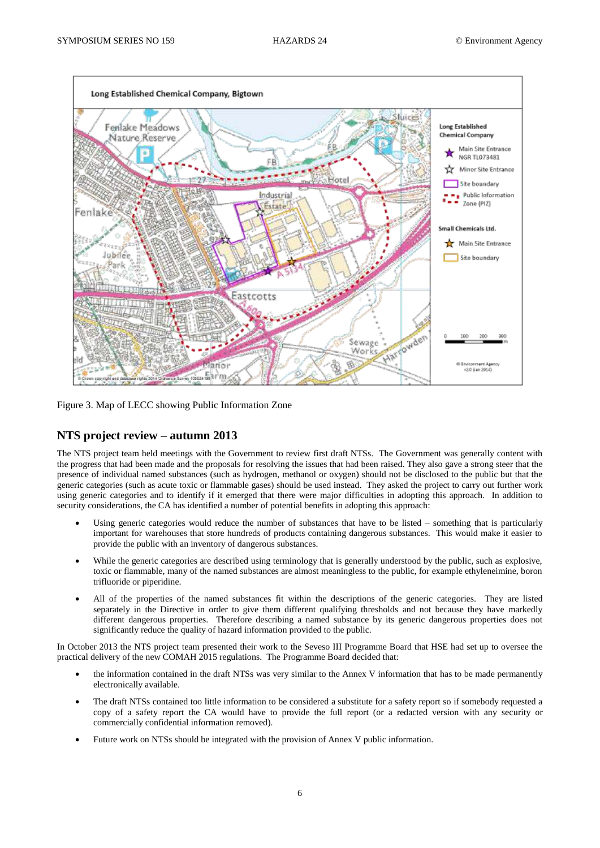

Figure 3. Map of LECC showing Public Information Zone

# **NTS project review – autumn 2013**

The NTS project team held meetings with the Government to review first draft NTSs. The Government was generally content with the progress that had been made and the proposals for resolving the issues that had been raised. They also gave a strong steer that the presence of individual named substances (such as hydrogen, methanol or oxygen) should not be disclosed to the public but that the generic categories (such as acute toxic or flammable gases) should be used instead. They asked the project to carry out further work using generic categories and to identify if it emerged that there were major difficulties in adopting this approach. In addition to security considerations, the CA has identified a number of potential benefits in adopting this approach:

- Using generic categories would reduce the number of substances that have to be listed something that is particularly important for warehouses that store hundreds of products containing dangerous substances. This would make it easier to provide the public with an inventory of dangerous substances.
- While the generic categories are described using terminology that is generally understood by the public, such as explosive, toxic or flammable, many of the named substances are almost meaningless to the public, for example ethyleneimine, boron trifluoride or piperidine.
- All of the properties of the named substances fit within the descriptions of the generic categories. They are listed separately in the Directive in order to give them different qualifying thresholds and not because they have markedly different dangerous properties. Therefore describing a named substance by its generic dangerous properties does not significantly reduce the quality of hazard information provided to the public.

In October 2013 the NTS project team presented their work to the Seveso III Programme Board that HSE had set up to oversee the practical delivery of the new COMAH 2015 regulations. The Programme Board decided that:

- the information contained in the draft NTSs was very similar to the Annex V information that has to be made permanently electronically available.
- The draft NTSs contained too little information to be considered a substitute for a safety report so if somebody requested a copy of a safety report the CA would have to provide the full report (or a redacted version with any security or commercially confidential information removed).
- Future work on NTSs should be integrated with the provision of Annex V public information.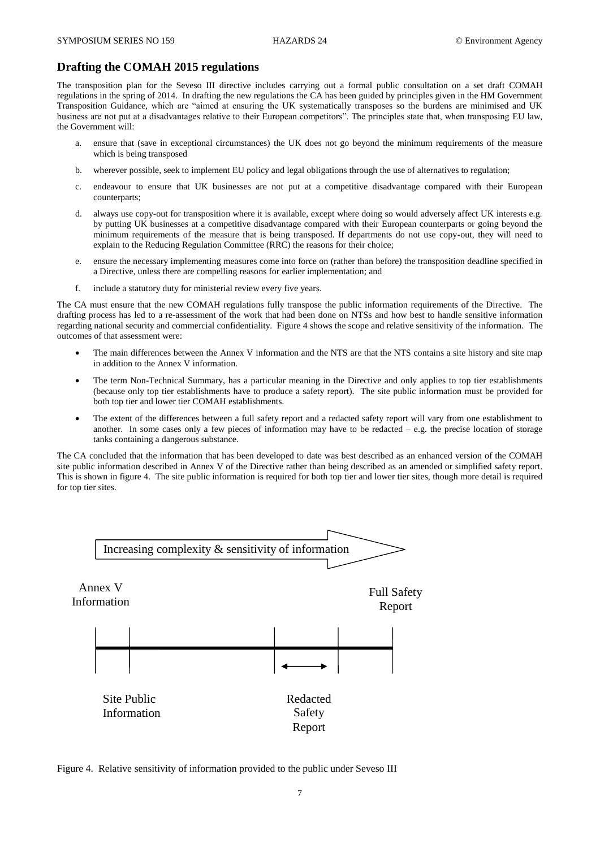#### **Drafting the COMAH 2015 regulations**

The transposition plan for the Seveso III directive includes carrying out a formal public consultation on a set draft COMAH regulations in the spring of 2014. In drafting the new regulations the CA has been guided by principles given in the HM Government Transposition Guidance, which are "aimed at ensuring the UK systematically transposes so the burdens are minimised and UK business are not put at a disadvantages relative to their European competitors". The principles state that, when transposing EU law, the Government will:

- a. ensure that (save in exceptional circumstances) the UK does not go beyond the minimum requirements of the measure which is being transposed
- b. wherever possible, seek to implement EU policy and legal obligations through the use of alternatives to regulation;
- c. endeavour to ensure that UK businesses are not put at a competitive disadvantage compared with their European counterparts;
- d. always use copy-out for transposition where it is available, except where doing so would adversely affect UK interests e.g. by putting UK businesses at a competitive disadvantage compared with their European counterparts or going beyond the minimum requirements of the measure that is being transposed. If departments do not use copy-out, they will need to explain to the Reducing Regulation Committee (RRC) the reasons for their choice;
- e. ensure the necessary implementing measures come into force on (rather than before) the transposition deadline specified in a Directive, unless there are compelling reasons for earlier implementation; and
- f. include a statutory duty for ministerial review every five years.

The CA must ensure that the new COMAH regulations fully transpose the public information requirements of the Directive. The drafting process has led to a re-assessment of the work that had been done on NTSs and how best to handle sensitive information regarding national security and commercial confidentiality. Figure 4 shows the scope and relative sensitivity of the information. The outcomes of that assessment were:

- The main differences between the Annex V information and the NTS are that the NTS contains a site history and site map in addition to the Annex V information.
- The term Non-Technical Summary, has a particular meaning in the Directive and only applies to top tier establishments (because only top tier establishments have to produce a safety report). The site public information must be provided for both top tier and lower tier COMAH establishments.
- The extent of the differences between a full safety report and a redacted safety report will vary from one establishment to another. In some cases only a few pieces of information may have to be redacted  $-$  e.g. the precise location of storage tanks containing a dangerous substance.

The CA concluded that the information that has been developed to date was best described as an enhanced version of the COMAH site public information described in Annex V of the Directive rather than being described as an amended or simplified safety report. This is shown in figure 4. The site public information is required for both top tier and lower tier sites, though more detail is required for top tier sites.



Figure 4. Relative sensitivity of information provided to the public under Seveso III